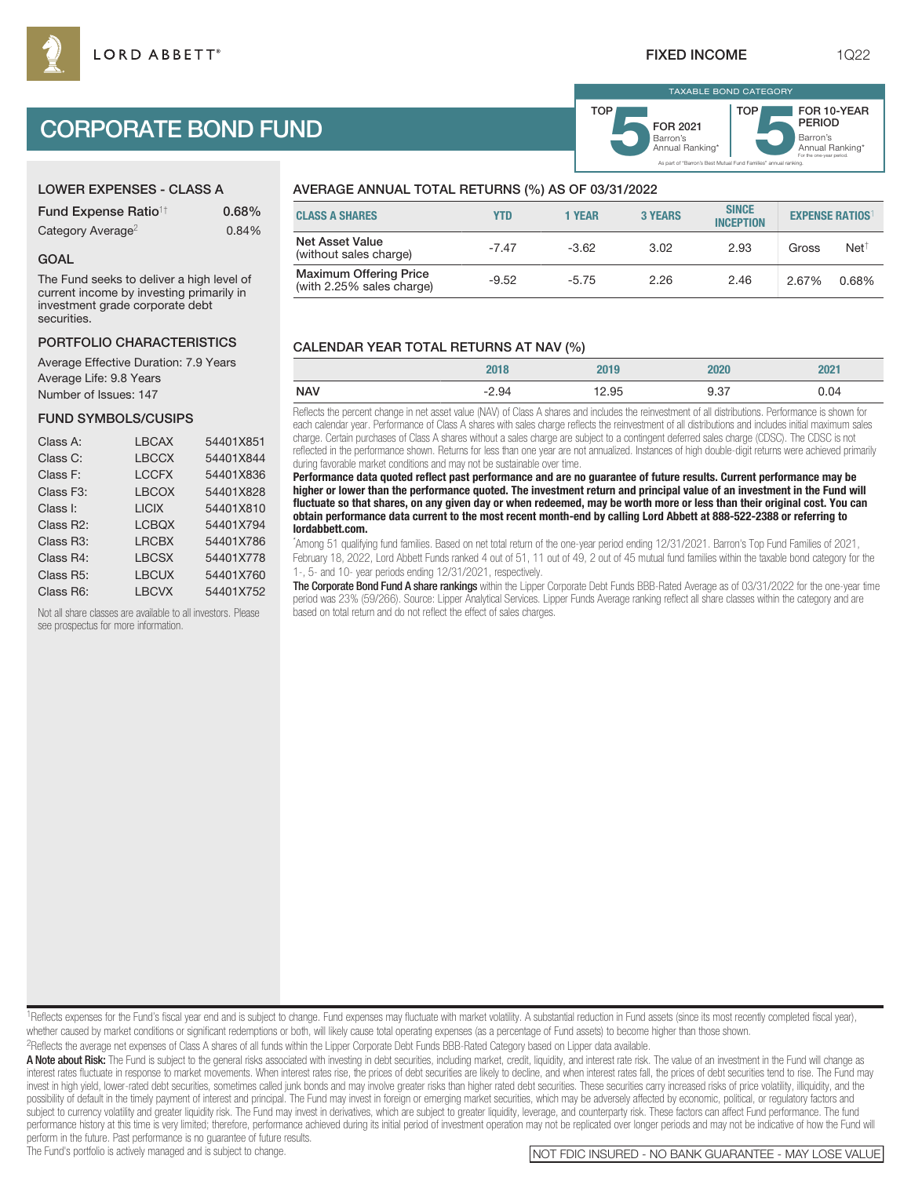# CORPORATE BOND FUND

## LOWER EXPENSES - CLASS A

| <b>Fund Expense Ratio<sup>1†</sup></b> | 0.68% |
|----------------------------------------|-------|
| Category Average <sup>2</sup>          | 0.84% |

#### GOAL

The Fund seeks to deliver a high level of current income by investing primarily in investment grade corporate debt securities.

#### PORTFOLIO CHARACTERISTICS

Average Effective Duration: 7.9 Years Average Life: 9.8 Years Number of Issues: 147

#### FUND SYMBOLS/CUSIPS

| Class A:               | <b>LBCAX</b> | 54401X851 |
|------------------------|--------------|-----------|
| Class C:               | <b>LBCCX</b> | 54401X844 |
| Class F:               | <b>LCCFX</b> | 54401X836 |
| Class F3:              | <b>LBCOX</b> | 54401X828 |
| Class I:               | <b>LICIX</b> | 54401X810 |
| Class R2:              | <b>LCBQX</b> | 54401X794 |
| Class R <sub>3</sub> : | <b>LRCBX</b> | 54401X786 |
| Class R4:              | <b>LBCSX</b> | 54401X778 |
| Class R <sub>5</sub> : | <b>LBCUX</b> | 54401X760 |
| Class R6:              | <b>LBCVX</b> | 54401X752 |

Not all share classes are available to all investors. Please see prospectus for more information.

### AVERAGE ANNUAL TOTAL RETURNS (%) AS OF 03/31/2022

| <b>CLASS A SHARES</b>                                      | YTD     | 1 YEAR  | <b>3 YEARS</b> | <b>SINCE</b><br><b>INCEPTION</b> | <b>EXPENSE RATIOS</b> |                 |
|------------------------------------------------------------|---------|---------|----------------|----------------------------------|-----------------------|-----------------|
| Net Asset Value<br>(without sales charge)                  | $-7.47$ | $-3.62$ | 3.02           | 2.93                             | Gross                 | $Net^{\dagger}$ |
| <b>Maximum Offering Price</b><br>(with 2.25% sales charge) | $-9.52$ | $-5.75$ | 2.26           | 2.46                             | 2.67%                 | 0.68%           |

#### CALENDAR YEAR TOTAL RETURNS AT NAV (%)

|            | 2018    | 2019  | 2020 | 2021 |
|------------|---------|-------|------|------|
| <b>NAV</b> | $-2.94$ | 12.95 | 9.37 | 0.04 |

Reflects the percent change in net asset value (NAV) of Class A shares and includes the reinvestment of all distributions. Performance is shown for each calendar year. Performance of Class A shares with sales charge reflects the reinvestment of all distributions and includes initial maximum sales charge. Certain purchases of Class A shares without a sales charge are subject to a contingent deferred sales charge (CDSC). The CDSC is not reflected in the performance shown. Returns for less than one year are not annualized. Instances of high double-digit returns were achieved primarily during favorable market conditions and may not be sustainable over time.

**Performance data quoted reflect past performance and are no guarantee of future results. Current performance may be higher or lower than the performance quoted. The investment return and principal value of an investment in the Fund will fluctuate so that shares, on any given day or when redeemed, may be worth more or less than their original cost. You can obtain performance data current to the most recent month-end by calling Lord Abbett at 888-522-2388 or referring to lordabbett.com.**

\* Among 51 qualifying fund families. Based on net total return of the one-year period ending 12/31/2021. Barron's Top Fund Families of 2021, February 18, 2022, Lord Abbett Funds ranked 4 out of 51, 11 out of 49, 2 out of 45 mutual fund families within the taxable bond category for the 1-, 5- and 10- year periods ending 12/31/2021, respectively.

The Corporate Bond Fund A share rankings within the Lipper Corporate Debt Funds BBB-Rated Average as of 03/31/2022 for the one-vear time period was 23% (59/266). Source: Lipper Analytical Services. Lipper Funds Average ranking reflect all share classes within the category and are based on total return and do not reflect the effect of sales charges.

<sup>1</sup>Reflects expenses for the Fund's fiscal year end and is subject to change. Fund expenses may fluctuate with market volatility. A substantial reduction in Fund assets (since its most recently completed fiscal year), whether caused by market conditions or significant redemptions or both, will likely cause total operating expenses (as a percentage of Fund assets) to become higher than those shown. 2Reflects the average net expenses of Class A shares of all funds within the Lipper Corporate Debt Funds BBB-Rated Category based on Lipper data available.

A Note about Risk: The Fund is subject to the general risks associated with investing in debt securities, including market, credit, liquidity, and interest rate risk. The value of an investment in the Fund will change as interest rates fluctuate in response to market movements. When interest rates rise, the prices of debt securities are likely to decline, and when interest rates fall, the prices of debt securities tend to rise. The Fund may invest in high yield, lower-rated debt securities, sometimes called junk bonds and may involve greater risks than higher rated debt securities. These securities carry increased risks of price volatility, illiquidity, and t possibility of default in the timely payment of interest and principal. The Fund may invest in foreign or emerging market securities, which may be adversely affected by economic, political, or regulatory factors and subject to currency volatility and greater liquidity risk. The Fund may invest in derivatives, which are subject to greater liquidity, leverage, and counterparty risk. These factors can affect Fund performance. The fund performance history at this time is very limited; therefore, performance achieved during its initial period of investment operation may not be replicated over longer periods and may not be indicative of how the Fund will

perform in the future. Past performance is no guarantee of future results.<br>The Fund's portfolio is actively managed and is subject to change.